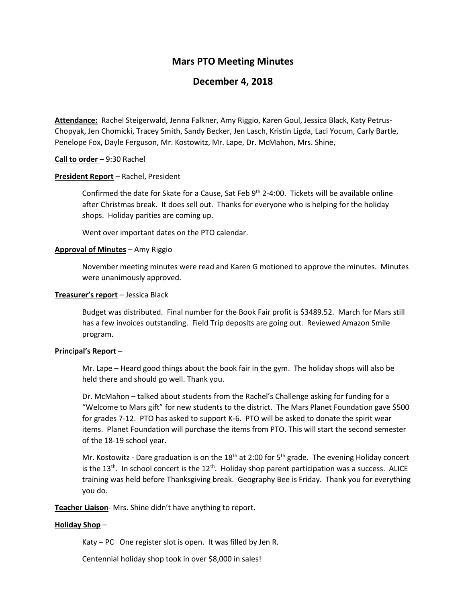# **Mars PTO Meeting Minutes**

## **December 4, 2018**

**Attendance:** Rachel Steigerwald, Jenna Falkner, Amy Riggio, Karen Goul, Jessica Black, Katy Petrus-Chopyak, Jen Chomicki, Tracey Smith, Sandy Becker, Jen Lasch, Kristin Ligda, Laci Yocum, Carly Bartle, Penelope Fox, Dayle Ferguson, Mr. Kostowitz, Mr. Lape, Dr. McMahon, Mrs. Shine,

### **Call to order** – 9:30 Rachel

#### **President Report** – Rachel, President

Confirmed the date for Skate for a Cause, Sat Feb 9<sup>th</sup> 2-4:00. Tickets will be available online after Christmas break. It does sell out. Thanks for everyone who is helping for the holiday shops. Holiday parities are coming up.

Went over important dates on the PTO calendar.

### **Approval of Minutes** – Amy Riggio

November meeting minutes were read and Karen G motioned to approve the minutes. Minutes were unanimously approved.

### **Treasurer's report** – Jessica Black

Budget was distributed. Final number for the Book Fair profit is \$3489.52. March for Mars still has a few invoices outstanding. Field Trip deposits are going out. Reviewed Amazon Smile program.

#### **Principal's Report** –

Mr. Lape – Heard good things about the book fair in the gym. The holiday shops will also be held there and should go well. Thank you.

Dr. McMahon – talked about students from the Rachel's Challenge asking for funding for a "Welcome to Mars gift" for new students to the district. The Mars Planet Foundation gave \$500 for grades 7-12. PTO has asked to support K-6. PTO will be asked to donate the spirit wear items. Planet Foundation will purchase the items from PTO. This will start the second semester of the 18-19 school year.

Mr. Kostowitz - Dare graduation is on the 18<sup>th</sup> at 2:00 for 5<sup>th</sup> grade. The evening Holiday concert is the 13<sup>th</sup>. In school concert is the 12<sup>th</sup>. Holiday shop parent participation was a success. ALICE training was held before Thanksgiving break. Geography Bee is Friday. Thank you for everything you do.

**Teacher Liaison**- Mrs. Shine didn't have anything to report.

## **Holiday Shop** –

Katy – PC One register slot is open. It was filled by Jen R.

Centennial holiday shop took in over \$8,000 in sales!